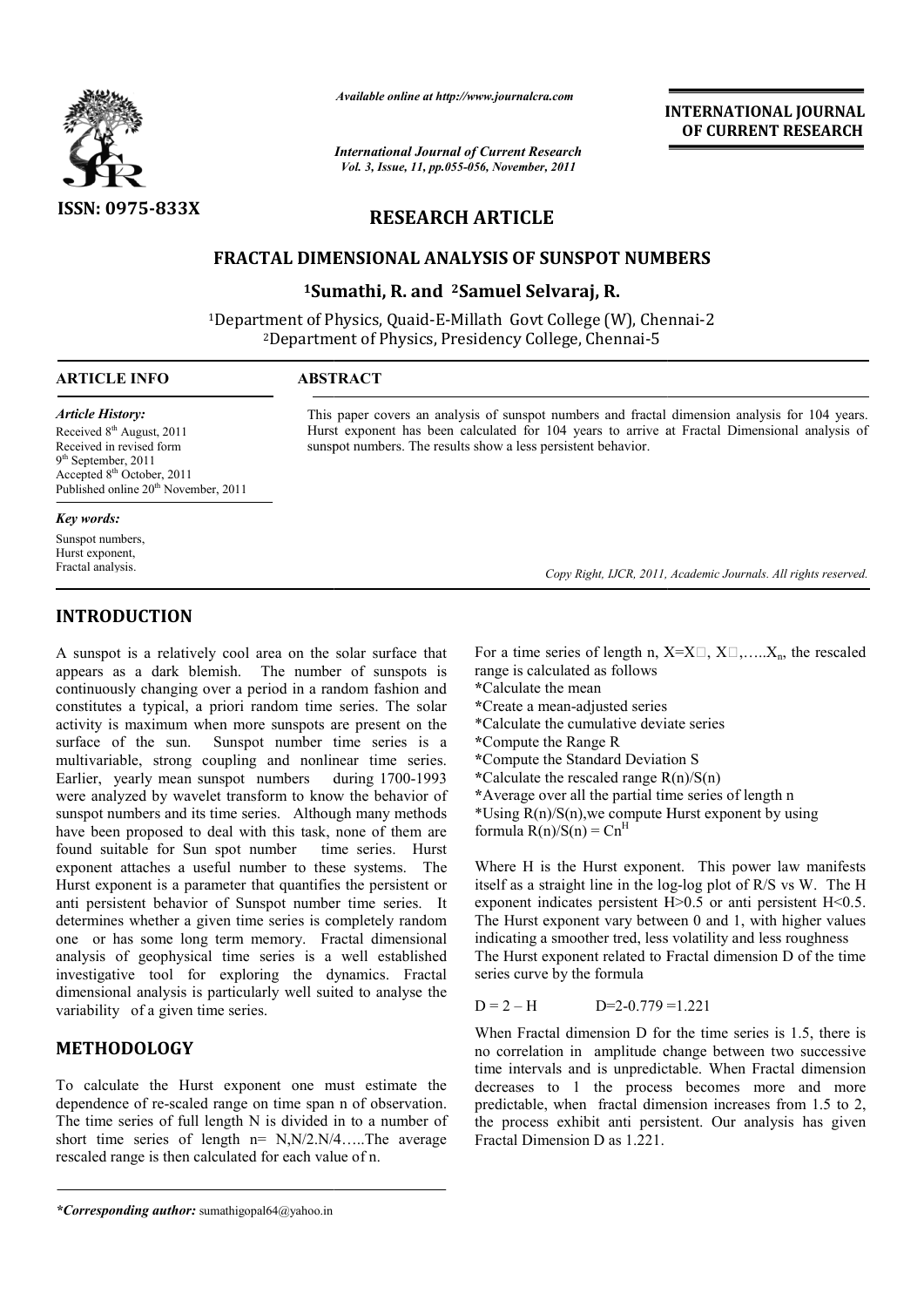

*Available online at http://www.journalcra.com*

*International Journal of Current Research Vol. 3, Issue, 11, pp.055-056, November, 2011*

## **INTERNATIONAL INTERNATIONAL JOURNAL OF CURRENT RESEARCH**

# **RESEARCH ARTICLE**

## **FRACTAL DIMENSIONAL ANALYSIS OF SUNSPOT NUMBERS FRACTAL DIMENSIONAL ANALYSIS SUNSPOT NUMBERS**

**1Sumathi, R. and Sumathi, 2Samuel Selvaraj, R.**

<sup>1</sup>Department of Physics, Quaid-E-Millath Govt College (W), Chennai-2 <sup>2</sup>Department of Physics, Presidency College, Chennai-5

sunspot numbers. The results show a less persistent behavior.

### **ARTICLE INFO ABSTRACT**

*Article History:* Received  $8<sup>th</sup>$  August, 2011 Received in revised form 9<sup>th</sup> September, 2011 Accepted 8<sup>th</sup> October, 2011 Published online 20<sup>th</sup> November, 2011

### *Key words:*

Sunspot numbers, Hurst exponent, Fractal analysis.

# **INTRODUCTION**

A sunspot is a relatively cool area on the solar surface that appears as a dark blemish. The number of sunspots is continuously changing over a period in a random fashion and constitutes a typical, a priori random time series. The solar activity is maximum when more sunspots are present on the surface of the sun. Sunspot number time series is a Sunspot number time series is a multivariable, strong coupling and nonlinear time series. Earlier, yearly mean sunspot numbers were analyzed by wavelet transform to know the behavior of sunspot numbers and its time series. Although many methods have been proposed to deal with this task, none of them are found suitable for Sun spot number time series. Hurst exponent attaches a useful number to these systems. The Hurst exponent is a parameter that quantifies the persistent or anti persistent behavior of Sunspot number time series. It determines whether a given time series is completely random one or has some long term memory. Fractal dimensional analysis of geophysical time series is a well established investigative tool for exploring the dynamics. Fractal dimensional analysis is particularly well suited to analyse the variability of a given time series. during 1700-1993 is a relatively cool areas on the solar surface that For a time series of length n, X=X<br>a dark blemish. The number of sumspots is range is calculated as follows<br>y changing over a period in a random fashion and  $*$ Calculat

# **METHODOLOGY**

To calculate the Hurst exponent one must estimate the dependence of re-scaled range on time span n of observation. The time series of full length N is divided in to a number of short time series of length n= N,N/2.N/4…..The average rescaled range is then calculated for each value of n.

range is calculated as follows For a time series of length n,  $X=X\Box, X\Box,...,X_n$ , the rescaled

- **\***Calculate the mean
- **\***Create a mean-adjusted series
- \*Calculate the cumulative deviate series
- **\***Compute the Range R
- **\***Compute the Standard Deviation S

This paper covers an analysis of sunspot numbers and fractal dimension analysis for 104 years. This paper covers an analysis of sunspot numbers and fractal dimension analysis for 104 years.<br>Hurst exponent has been calculated for 104 years to arrive at Fractal Dimensional analysis of

- **\***Calculate the rescaled range R(n)/S(n)
- **\***Average over all the partial time series of length n
- \*Using  $R(n)/S(n)$ , we compute Hurst exponent by using formula  $R(n)/S(n) = Cn<sup>F</sup>$

Where H is the Hurst exponent. This power law manifests Where H is the Hurst exponent. This power law manifests itself as a straight line in the log-log plot of R/S vs W. The H exponent indicates persistent  $H > 0.5$  or anti persistent  $H < 0.5$ . The Hurst exponent vary between 0 and 1, with higher values indicating a smoother tred, less volatility and less roughness The Hurst exponent related to Fractal dimension D of the time series curve by the formula

$$
D = 2 - H
$$
 
$$
D = 2 - 0.779 = 1.221
$$

When Fractal dimension D for the time series is 1.5, there is no correlation in amplitude change between two successive time intervals and is unpredictable. When Fractal dimension decreases to 1 the process becomes more and more predictable, when fractal dimension increases from 1.5 to 2, the process exhibit anti persistent. Our analysis has given Fractal Dimension D as 1.221. The Hurst exponent vary between 0 and 1, with higher values<br>indicating a smoother tred, less volatility and less roughness<br>The Hurst exponent related to Fractal dimension D of the time<br>series curve by the formula<br> $D = 2 - H$ 

Copy Right, IJCR, 2011, Academic Journals. All rights reserved.

*<sup>\*</sup>Corresponding author:* sumathigopal64@yahoo.in